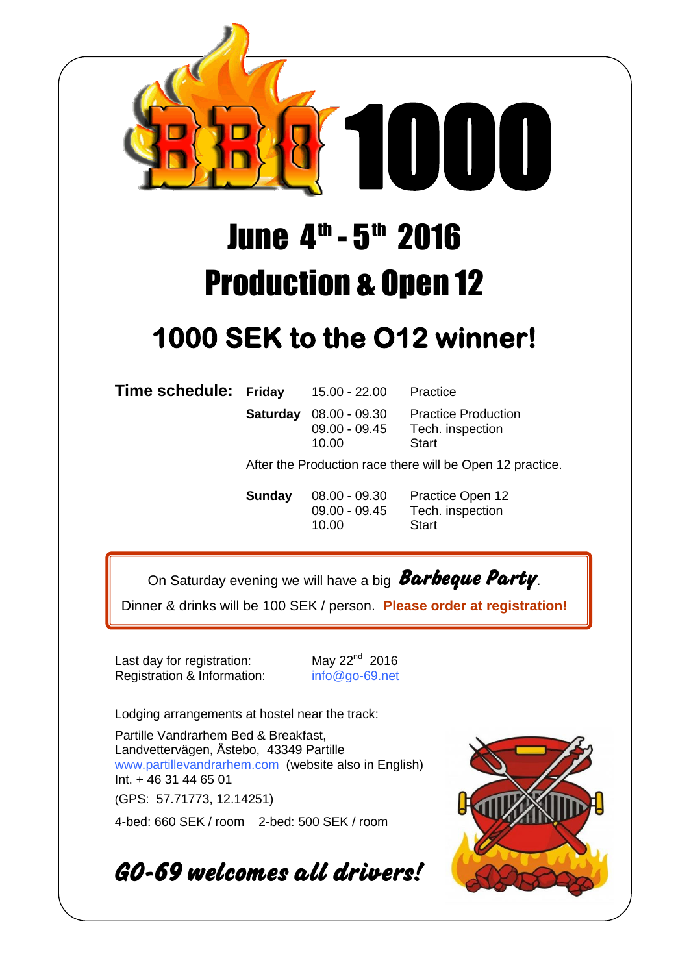

## June 4<sup>th</sup> - 5<sup>th</sup> 2016 Production & Open 12

## **1000 SEK to the O12 winner!**

**Time schedule: Friday** 15.00 - 22.00 Practice

 $10.00$ 

**Saturday** 08.00 - 09.30 Practice Production 09.00 - 09.45 Tech. inspection<br>10.00 Start

After the Production race there will be Open 12 practice.

**Sunday** 08.00 - 09.30 Practice Open 12 09.00 - 09.45 Tech. inspection 10.00 Start

On Saturday evening we will have a big **Barbeque Party**.

Dinner & drinks will be 100 SEK / person. **Please order at registration!**

Last day for registration:  $\mu$  May 22<sup>nd</sup> 2016 Registration & Information: info@go-69.net

Lodging arrangements at hostel near the track:

Partille Vandrarhem Bed & Breakfast, Landvettervägen, Åstebo, 43349 Partille www.partillevandrarhem.com (website also in English) Int. + 46 31 44 65 01

(GPS: 57.71773, 12.14251)

4-bed: 660 SEK / room 2-bed: 500 SEK / room

**GO-69 welcomes all drivers!**

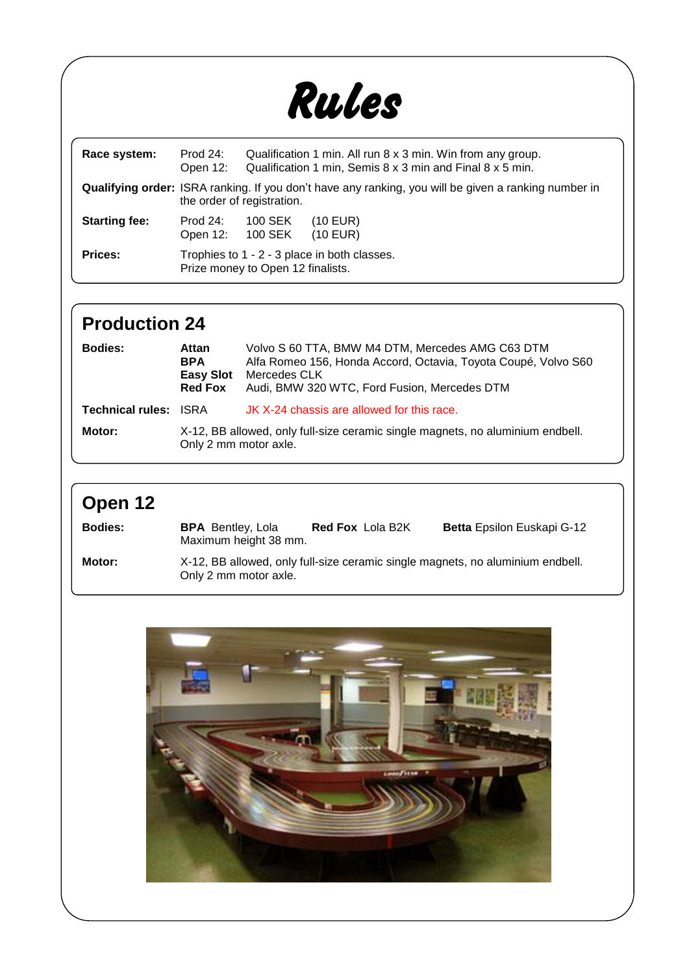

| Race system:         | Prod $24$ :<br>Open 12:                                                                                                                   | Qualification 1 min. All run 8 x 3 min. Win from any group.<br>Qualification 1 min, Semis 8 x 3 min and Final 8 x 5 min. |                          |  |  |
|----------------------|-------------------------------------------------------------------------------------------------------------------------------------------|--------------------------------------------------------------------------------------------------------------------------|--------------------------|--|--|
|                      | <b>Qualifying order:</b> ISRA ranking. If you don't have any ranking, you will be given a ranking number in<br>the order of registration. |                                                                                                                          |                          |  |  |
| <b>Starting fee:</b> | Prod $24$ :<br>Open 12: 100 SEK                                                                                                           | 100 SEK                                                                                                                  | $(10$ EUR)<br>$(10$ EUR) |  |  |
| <b>Prices:</b>       | Trophies to 1 - 2 - 3 place in both classes.<br>Prize money to Open 12 finalists.                                                         |                                                                                                                          |                          |  |  |

## **Production 24**

| <b>Bodies:</b>               | Attan<br><b>BPA</b><br><b>Easy Slot</b><br><b>Red Fox</b>                                               | Volvo S 60 TTA, BMW M4 DTM, Mercedes AMG C63 DTM<br>Alfa Romeo 156, Honda Accord, Octavia, Toyota Coupé, Volvo S60<br>Mercedes CLK<br>Audi, BMW 320 WTC, Ford Fusion, Mercedes DTM |  |
|------------------------------|---------------------------------------------------------------------------------------------------------|------------------------------------------------------------------------------------------------------------------------------------------------------------------------------------|--|
| <b>Technical rules: ISRA</b> |                                                                                                         | JK X-24 chassis are allowed for this race.                                                                                                                                         |  |
| Motor:                       | X-12, BB allowed, only full-size ceramic single magnets, no aluminium endbell.<br>Only 2 mm motor axle. |                                                                                                                                                                                    |  |

## **Open 12**

| <b>Bodies:</b> | <b>BPA</b> Bentley, Lola<br>Maximum height 38 mm. | <b>Red Fox Lola B2K</b> | <b>Betta Epsilon Euskapi G-12</b>                                              |
|----------------|---------------------------------------------------|-------------------------|--------------------------------------------------------------------------------|
| Motor:         | Only 2 mm motor axle.                             |                         | X-12, BB allowed, only full-size ceramic single magnets, no aluminium endbell. |